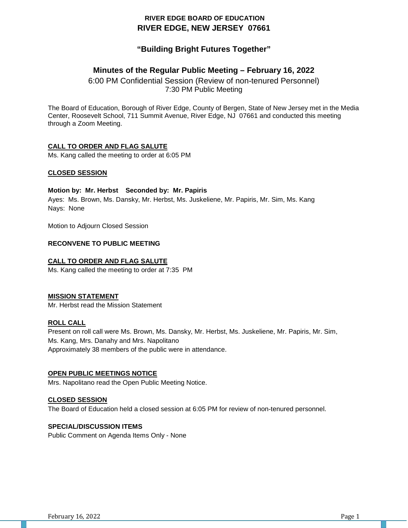# **RIVER EDGE BOARD OF EDUCATION RIVER EDGE, NEW JERSEY 07661**

# **"Building Bright Futures Together"**

# **Minutes of the Regular Public Meeting – February 16, 2022**

6:00 PM Confidential Session (Review of non-tenured Personnel) 7:30 PM Public Meeting

The Board of Education, Borough of River Edge, County of Bergen, State of New Jersey met in the Media Center, Roosevelt School, 711 Summit Avenue, River Edge, NJ 07661 and conducted this meeting through a Zoom Meeting.

# **CALL TO ORDER AND FLAG SALUTE**

Ms. Kang called the meeting to order at 6:05 PM

### **CLOSED SESSION**

### **Motion by: Mr. Herbst Seconded by: Mr. Papiris**

Ayes: Ms. Brown, Ms. Dansky, Mr. Herbst, Ms. Juskeliene, Mr. Papiris, Mr. Sim, Ms. Kang Nays: None

Motion to Adjourn Closed Session

#### **RECONVENE TO PUBLIC MEETING**

### **CALL TO ORDER AND FLAG SALUTE**

Ms. Kang called the meeting to order at 7:35 PM

#### **MISSION STATEMENT**

Mr. Herbst read the Mission Statement

#### **ROLL CALL**

Present on roll call were Ms. Brown, Ms. Dansky, Mr. Herbst, Ms. Juskeliene, Mr. Papiris, Mr. Sim, Ms. Kang, Mrs. Danahy and Mrs. Napolitano Approximately 38 members of the public were in attendance.

#### **OPEN PUBLIC MEETINGS NOTICE**

Mrs. Napolitano read the Open Public Meeting Notice.

#### **CLOSED SESSION**

The Board of Education held a closed session at 6:05 PM for review of non-tenured personnel.

### **SPECIAL/DISCUSSION ITEMS**

Public Comment on Agenda Items Only - None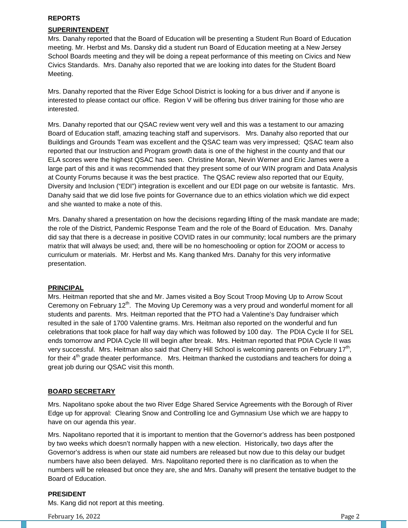### **REPORTS**

# **SUPERINTENDENT**

Mrs. Danahy reported that the Board of Education will be presenting a Student Run Board of Education meeting. Mr. Herbst and Ms. Dansky did a student run Board of Education meeting at a New Jersey School Boards meeting and they will be doing a repeat performance of this meeting on Civics and New Civics Standards. Mrs. Danahy also reported that we are looking into dates for the Student Board Meeting.

Mrs. Danahy reported that the River Edge School District is looking for a bus driver and if anyone is interested to please contact our office. Region V will be offering bus driver training for those who are interested.

Mrs. Danahy reported that our QSAC review went very well and this was a testament to our amazing Board of Education staff, amazing teaching staff and supervisors. Mrs. Danahy also reported that our Buildings and Grounds Team was excellent and the QSAC team was very impressed; QSAC team also reported that our Instruction and Program growth data is one of the highest in the county and that our ELA scores were the highest QSAC has seen. Christine Moran, Nevin Werner and Eric James were a large part of this and it was recommended that they present some of our WIN program and Data Analysis at County Forums because it was the best practice. The QSAC review also reported that our Equity, Diversity and Inclusion ("EDI") integration is excellent and our EDI page on our website is fantastic. Mrs. Danahy said that we did lose five points for Governance due to an ethics violation which we did expect and she wanted to make a note of this.

Mrs. Danahy shared a presentation on how the decisions regarding lifting of the mask mandate are made; the role of the District, Pandemic Response Team and the role of the Board of Education. Mrs. Danahy did say that there is a decrease in positive COVID rates in our community; local numbers are the primary matrix that will always be used; and, there will be no homeschooling or option for ZOOM or access to curriculum or materials. Mr. Herbst and Ms. Kang thanked Mrs. Danahy for this very informative presentation.

# **PRINCIPAL**

Mrs. Heitman reported that she and Mr. James visited a Boy Scout Troop Moving Up to Arrow Scout Ceremony on February  $12<sup>th</sup>$ . The Moving Up Ceremony was a very proud and wonderful moment for all students and parents. Mrs. Heitman reported that the PTO had a Valentine's Day fundraiser which resulted in the sale of 1700 Valentine grams. Mrs. Heitman also reported on the wonderful and fun celebrations that took place for half way day which was followed by 100 day. The PDIA Cycle II for SEL ends tomorrow and PDIA Cycle III will begin after break. Mrs. Heitman reported that PDIA Cycle II was very successful. Mrs. Heitman also said that Cherry Hill School is welcoming parents on February 17<sup>th</sup>, for their  $4<sup>th</sup>$  grade theater performance. Mrs. Heitman thanked the custodians and teachers for doing a great job during our QSAC visit this month.

#### **BOARD SECRETARY**

Mrs. Napolitano spoke about the two River Edge Shared Service Agreements with the Borough of River Edge up for approval: Clearing Snow and Controlling Ice and Gymnasium Use which we are happy to have on our agenda this year.

Mrs. Napolitano reported that it is important to mention that the Governor's address has been postponed by two weeks which doesn't normally happen with a new election. Historically, two days after the Governor's address is when our state aid numbers are released but now due to this delay our budget numbers have also been delayed. Mrs. Napolitano reported there is no clarification as to when the numbers will be released but once they are, she and Mrs. Danahy will present the tentative budget to the Board of Education.

#### **PRESIDENT**

Ms. Kang did not report at this meeting.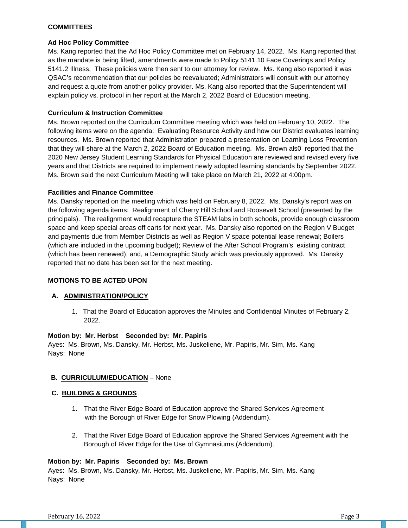### **COMMITTEES**

### **Ad Hoc Policy Committee**

Ms. Kang reported that the Ad Hoc Policy Committee met on February 14, 2022. Ms. Kang reported that as the mandate is being lifted, amendments were made to Policy 5141.10 Face Coverings and Policy 5141.2 Illness. These policies were then sent to our attorney for review. Ms. Kang also reported it was QSAC's recommendation that our policies be reevaluated; Administrators will consult with our attorney and request a quote from another policy provider. Ms. Kang also reported that the Superintendent will explain policy vs. protocol in her report at the March 2, 2022 Board of Education meeting.

### **Curriculum & Instruction Committee**

Ms. Brown reported on the Curriculum Committee meeting which was held on February 10, 2022. The following items were on the agenda: Evaluating Resource Activity and how our District evaluates learning resources. Ms. Brown reported that Administration prepared a presentation on Learning Loss Prevention that they will share at the March 2, 2022 Board of Education meeting. Ms. Brown als0 reported that the 2020 New Jersey Student Learning Standards for Physical Education are reviewed and revised every five years and that Districts are required to implement newly adopted learning standards by September 2022. Ms. Brown said the next Curriculum Meeting will take place on March 21, 2022 at 4:00pm.

### **Facilities and Finance Committee**

Ms. Dansky reported on the meeting which was held on February 8, 2022. Ms. Dansky's report was on the following agenda items: Realignment of Cherry Hill School and Roosevelt School (presented by the principals). The realignment would recapture the STEAM labs in both schools, provide enough classroom space and keep special areas off carts for next year. Ms. Dansky also reported on the Region V Budget and payments due from Member Districts as well as Region V space potential lease renewal; Boilers (which are included in the upcoming budget); Review of the After School Program's existing contract (which has been renewed); and, a Demographic Study which was previously approved. Ms. Dansky reported that no date has been set for the next meeting.

# **MOTIONS TO BE ACTED UPON**

#### **A. ADMINISTRATION/POLICY**

1. That the Board of Education approves the Minutes and Confidential Minutes of February 2, 2022.

#### **Motion by: Mr. Herbst Seconded by: Mr. Papiris**

Ayes: Ms. Brown, Ms. Dansky, Mr. Herbst, Ms. Juskeliene, Mr. Papiris, Mr. Sim, Ms. Kang Nays: None

#### **B. CURRICULUM/EDUCATION** – None

#### **C. BUILDING & GROUNDS**

- 1. That the River Edge Board of Education approve the Shared Services Agreement with the Borough of River Edge for Snow Plowing (Addendum).
- 2. That the River Edge Board of Education approve the Shared Services Agreement with the Borough of River Edge for the Use of Gymnasiums (Addendum).

#### **Motion by: Mr. Papiris Seconded by: Ms. Brown**

Ayes: Ms. Brown, Ms. Dansky, Mr. Herbst, Ms. Juskeliene, Mr. Papiris, Mr. Sim, Ms. Kang Nays: None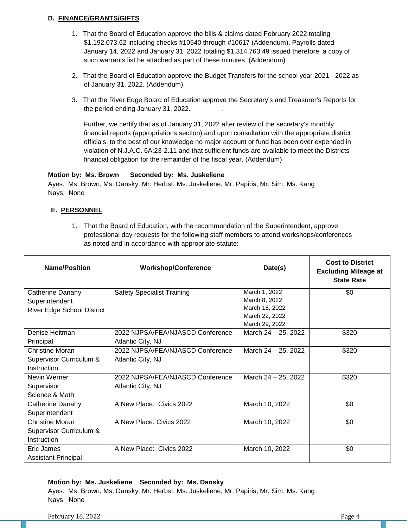# **D. FINANCE/GRANTS/GIFTS**

- 1. That the Board of Education approve the bills & claims dated February 2022 totaling \$1,192,073.62 including checks #10540 through #10617 (Addendum). Payrolls dated January 14, 2022 and January 31, 2022 totaling \$1,314,763.49 issued therefore, a copy of such warrants list be attached as part of these minutes. (Addendum)
- 2. That the Board of Education approve the Budget Transfers for the school year 2021 2022 as of January 31, 2022. (Addendum)
- 3. That the River Edge Board of Education approve the Secretary's and Treasurer's Reports for the period ending January 31, 2022. .

Further, we certify that as of January 31, 2022 after review of the secretary's monthly financial reports (appropriations section) and upon consultation with the appropriate district officials, to the best of our knowledge no major account or fund has been over expended in violation of N.J.A.C. 6A:23-2.11 and that sufficient funds are available to meet the Districts financial obligation for the remainder of the fiscal year. (Addendum)

### **Motion by: Ms. Brown Seconded by: Ms. Juskeliene**

Ayes: Ms. Brown, Ms. Dansky, Mr. Herbst, Ms. Juskeliene, Mr. Papiris, Mr. Sim, Ms. Kang Nays: None

# **E. PERSONNEL**

1. That the Board of Education, with the recommendation of the Superintendent, approve professional day requests for the following staff members to attend workshops/conferences as noted and in accordance with appropriate statute:

| <b>Name/Position</b>              | <b>Workshop/Conference</b>        | Date(s)                          | <b>Cost to District</b><br><b>Excluding Mileage at</b><br><b>State Rate</b> |
|-----------------------------------|-----------------------------------|----------------------------------|-----------------------------------------------------------------------------|
| Catherine Danahy                  | <b>Safety Specialist Training</b> | March 1, 2022                    | \$0                                                                         |
| Superintendent                    |                                   | March 8, 2022                    |                                                                             |
| <b>River Edge School District</b> |                                   | March 15, 2022                   |                                                                             |
|                                   |                                   | March 22, 2022<br>March 29, 2022 |                                                                             |
| Denise Heitman                    | 2022 NJPSA/FEA/NJASCD Conference  |                                  | \$320                                                                       |
|                                   |                                   | March $24 - 25$ , 2022           |                                                                             |
| Principal                         | Atlantic City, NJ                 |                                  |                                                                             |
| Christine Moran                   | 2022 NJPSA/FEA/NJASCD Conference  | March 24 - 25, 2022              | \$320                                                                       |
| Supervisor Curriculum &           | Atlantic City, NJ                 |                                  |                                                                             |
| Instruction                       |                                   |                                  |                                                                             |
| Nevin Werner                      | 2022 NJPSA/FEA/NJASCD Conference  | March 24 - 25, 2022              | \$320                                                                       |
| Supervisor                        | Atlantic City, NJ                 |                                  |                                                                             |
| Science & Math                    |                                   |                                  |                                                                             |
| Catherine Danahy                  | A New Place: Civics 2022          | March 10, 2022                   | \$0                                                                         |
| Superintendent                    |                                   |                                  |                                                                             |
| Christine Moran                   | A New Place: Civics 2022          | March 10, 2022                   | \$0                                                                         |
| Supervisor Curriculum &           |                                   |                                  |                                                                             |
| Instruction                       |                                   |                                  |                                                                             |
| Eric James                        | A New Place: Civics 2022          | March 10, 2022                   | \$0                                                                         |
| <b>Assistant Principal</b>        |                                   |                                  |                                                                             |

# **Motion by: Ms. Juskeliene Seconded by: Ms. Dansky**

Ayes: Ms. Brown, Ms. Dansky, Mr. Herbst, Ms. Juskeliene, Mr. Papiris, Mr. Sim, Ms. Kang Nays: None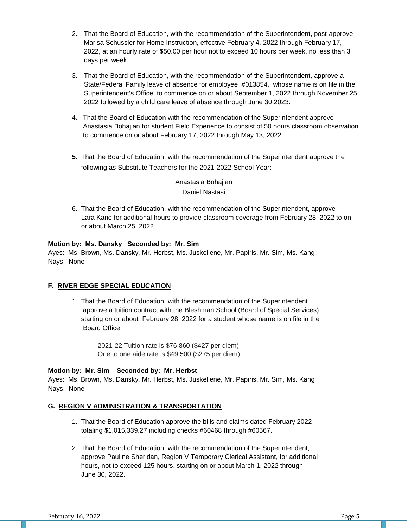- 2. That the Board of Education, with the recommendation of the Superintendent, post-approve Marisa Schussler for Home Instruction, effective February 4, 2022 through February 17, 2022, at an hourly rate of \$50.00 per hour not to exceed 10 hours per week, no less than 3 days per week.
- 3. That the Board of Education, with the recommendation of the Superintendent, approve a State/Federal Family leave of absence for employee #013854, whose name is on file in the Superintendent's Office, to commence on or about September 1, 2022 through November 25, 2022 followed by a child care leave of absence through June 30 2023.
- 4. That the Board of Education with the recommendation of the Superintendent approve Anastasia Bohajian for student Field Experience to consist of 50 hours classroom observation to commence on or about February 17, 2022 through May 13, 2022.
- **5.** That the Board of Education, with the recommendation of the Superintendent approve the following as Substitute Teachers for the 2021-2022 School Year:

Anastasia Bohajian Daniel Nastasi

6. That the Board of Education, with the recommendation of the Superintendent, approve Lara Kane for additional hours to provide classroom coverage from February 28, 2022 to on or about March 25, 2022.

### **Motion by: Ms. Dansky Seconded by: Mr. Sim**

Ayes: Ms. Brown, Ms. Dansky, Mr. Herbst, Ms. Juskeliene, Mr. Papiris, Mr. Sim, Ms. Kang Nays: None

# **F. RIVER EDGE SPECIAL EDUCATION**

1. That the Board of Education, with the recommendation of the Superintendent approve a tuition contract with the Bleshman School (Board of Special Services), starting on or about February 28, 2022 for a student whose name is on file in the Board Office.

> 2021-22 Tuition rate is \$76,860 (\$427 per diem) One to one aide rate is \$49,500 (\$275 per diem)

# **Motion by: Mr. Sim Seconded by: Mr. Herbst**

Ayes: Ms. Brown, Ms. Dansky, Mr. Herbst, Ms. Juskeliene, Mr. Papiris, Mr. Sim, Ms. Kang Nays: None

# **G. REGION V ADMINISTRATION & TRANSPORTATION**

- 1. That the Board of Education approve the bills and claims dated February 2022 totaling \$1,015,339.27 including checks #60468 through #60567.
- 2. That the Board of Education, with the recommendation of the Superintendent, approve Pauline Sheridan, Region V Temporary Clerical Assistant, for additional hours, not to exceed 125 hours, starting on or about March 1, 2022 through June 30, 2022.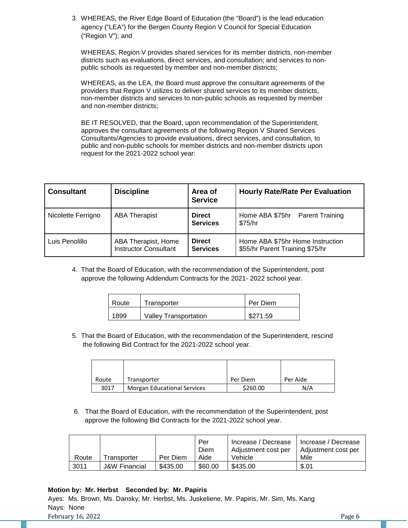3. WHEREAS, the River Edge Board of Education (the "Board") is the lead education agency ("LEA") for the Bergen County Region V Council for Special Education ("Region V"); and

 WHEREAS, Region V provides shared services for its member districts, non-member districts such as evaluations, direct services, and consultation; and services to non public schools as requested by member and non-member districts;

 WHEREAS, as the LEA, the Board must approve the consultant agreements of the providers that Region V utilizes to deliver shared services to its member districts, non-member districts and services to non-public schools as requested by member and non-member districts;

 BE IT RESOLVED, that the Board, upon recommendation of the Superintendent, approves the consultant agreements of the following Region V Shared Services Consultants/Agencies to provide evaluations, direct services, and consultation, to public and non-public schools for member districts and non-member districts upon request for the 2021-2022 school year:

| <b>Consultant</b>  | <b>Discipline</b>                                   | Area of<br><b>Service</b>        | <b>Hourly Rate/Rate Per Evaluation</b>                              |  |
|--------------------|-----------------------------------------------------|----------------------------------|---------------------------------------------------------------------|--|
| Nicolette Ferrigno | <b>ABA Therapist</b>                                | <b>Direct</b><br><b>Services</b> | Home ABA \$75hr<br><b>Parent Training</b><br>\$75/hr                |  |
| Luis Penolillo     | ABA Therapist, Home<br><b>Instructor Consultant</b> | <b>Direct</b><br><b>Services</b> | Home ABA \$75hr Home Instruction<br>\$55/hr Parent Training \$75/hr |  |

4. That the Board of Education, with the recommendation of the Superintendent, post approve the following Addendum Contracts for the 2021- 2022 school year.

| Route | Transporter                  | Per Diem |
|-------|------------------------------|----------|
| 1899  | <b>Valley Transportation</b> | \$271.59 |

5. That the Board of Education, with the recommendation of the Superintendent, rescind the following Bid Contract for the 2021-2022 school year.

| Route | Transporter                        | Per Diem | Per Aide |
|-------|------------------------------------|----------|----------|
| 3017  | <b>Morgan Educational Services</b> | \$260.00 | N/A      |

6. That the Board of Education, with the recommendation of the Superintendent, post approve the following Bid Contracts for the 2021-2022 school year.

|       |                          |          | Per<br>Diem | Increase / Decrease<br>Adjustment cost per | Increase / Decrease<br>Adiustment cost per |
|-------|--------------------------|----------|-------------|--------------------------------------------|--------------------------------------------|
| Route | Transporter              | Per Diem | Aide        | Vehicle                                    | Mile                                       |
| 3011  | <b>J&amp;W Financial</b> | \$435.00 | \$60.00     | \$435.00                                   | \$.01                                      |

# **Motion by: Mr. Herbst Seconded by: Mr. Papiris**

February 16, 2022 Page 6 Ayes: Ms. Brown, Ms. Dansky, Mr. Herbst, Ms. Juskeliene, Mr. Papiris, Mr. Sim, Ms. Kang Nays: None